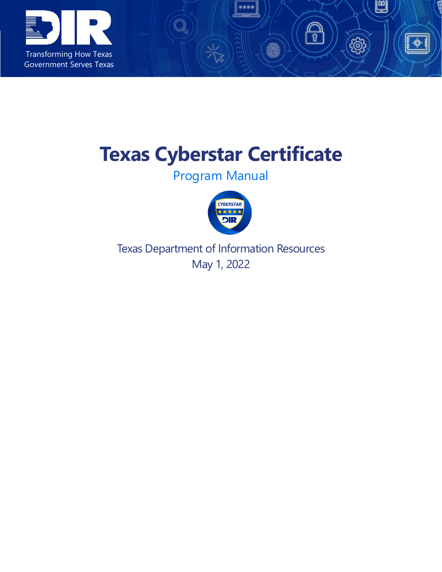

# **Texas Cyberstar Certificate**

U

-Ò-

 $\widetilde{\circ}$ 

 $\bigcirc$ 

Program Manual



Texas Department of Information Resources May 1, 2022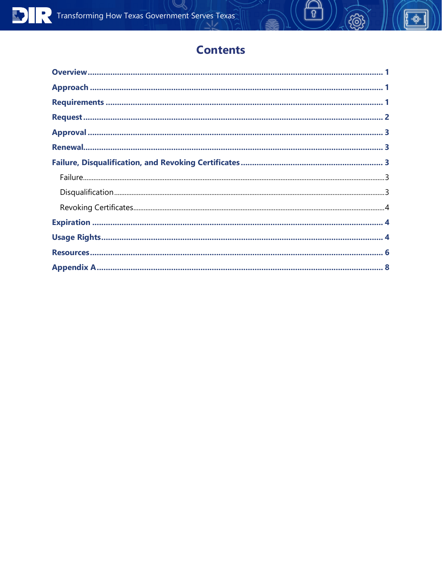# **Contents**

 $\begin{matrix} 0 \end{matrix}$ 

 $\sqrt{\phi}$ .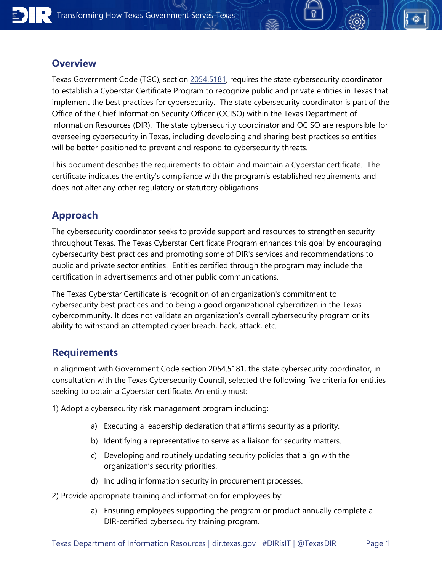#### <span id="page-2-0"></span>**Overview**

Texas Government Code (TGC), section [2054.5181,](https://statutes.capitol.texas.gov/Docs/GV/htm/GV.2054.htm#2054.5181) requires the state cybersecurity coordinator to establish a Cyberstar Certificate Program to recognize public and private entities in Texas that implement the best practices for cybersecurity. The state cybersecurity coordinator is part of the Office of the Chief Information Security Officer (OCISO) within the Texas Department of Information Resources (DIR). The state cybersecurity coordinator and OCISO are responsible for overseeing cybersecurity in Texas, including developing and sharing best practices so entities will be better positioned to prevent and respond to cybersecurity threats.

This document describes the requirements to obtain and maintain a Cyberstar certificate. The certificate indicates the entity's compliance with the program's established requirements and does not alter any other regulatory or statutory obligations.

# <span id="page-2-1"></span>**Approach**

The cybersecurity coordinator seeks to provide support and resources to strengthen security throughout Texas. The Texas Cyberstar Certificate Program enhances this goal by encouraging cybersecurity best practices and promoting some of DIR's services and recommendations to public and private sector entities. Entities certified through the program may include the certification in advertisements and other public communications.

The Texas Cyberstar Certificate is recognition of an organization's commitment to cybersecurity best practices and to being a good organizational cybercitizen in the Texas cybercommunity. It does not validate an organization's overall cybersecurity program or its ability to withstand an attempted cyber breach, hack, attack, etc.

#### <span id="page-2-2"></span>**Requirements**

In alignment with Government Code section 2054.5181, the state cybersecurity coordinator, in consultation with the Texas Cybersecurity Council, selected the following five criteria for entities seeking to obtain a Cyberstar certificate. An entity must:

1) Adopt a cybersecurity risk management program including:

- a) Executing a leadership declaration that affirms security as a priority.
- b) Identifying a representative to serve as a liaison for security matters.
- c) Developing and routinely updating security policies that align with the organization's security priorities.
- d) Including information security in procurement processes.
- 2) Provide appropriate training and information for employees by:
	- a) Ensuring employees supporting the program or product annually complete a DIR-certified cybersecurity training program.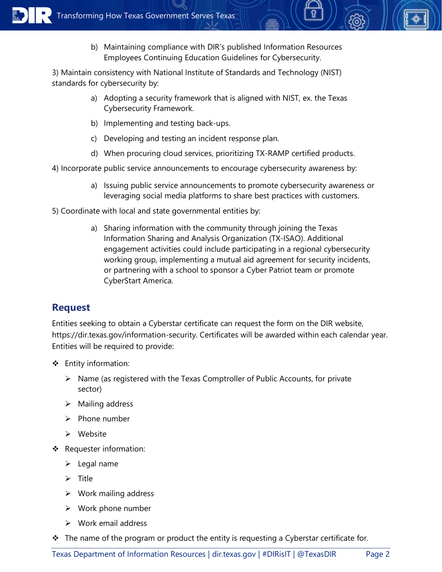b) Maintaining compliance with DIR's published Information Resources Employees Continuing Education Guidelines for Cybersecurity.

3) Maintain consistency with National Institute of Standards and Technology (NIST) standards for cybersecurity by:

- a) Adopting a security framework that is aligned with NIST, ex. the Texas Cybersecurity Framework.
- b) Implementing and testing back-ups.
- c) Developing and testing an incident response plan.
- d) When procuring cloud services, prioritizing TX-RAMP certified products.
- 4) Incorporate public service announcements to encourage cybersecurity awareness by:
	- a) Issuing public service announcements to promote cybersecurity awareness or leveraging social media platforms to share best practices with customers.
- 5) Coordinate with local and state governmental entities by:
	- a) Sharing information with the community through joining the Texas Information Sharing and Analysis Organization (TX-ISAO). Additional engagement activities could include participating in a regional cybersecurity working group, implementing a mutual aid agreement for security incidents, or partnering with a school to sponsor a Cyber Patriot team or promote CyberStart America.

# <span id="page-3-0"></span>**Request**

Entities seeking to obtain a Cyberstar certificate can request the form on the DIR website, https://dir.texas.gov/information-security. Certificates will be awarded within each calendar year. Entities will be required to provide:

- Entity information:
	- $\triangleright$  Name (as registered with the Texas Comptroller of Public Accounts, for private sector)
	- $\triangleright$  Mailing address
	- $\triangleright$  Phone number
	- $\triangleright$  Website
- ❖ Requester information:
	- $\blacktriangleright$  Legal name
	- $\triangleright$  Title
	- $\triangleright$  Work mailing address
	- $\triangleright$  Work phone number
	- $\triangleright$  Work email address
- $\cdot \cdot$  The name of the program or product the entity is requesting a Cyberstar certificate for.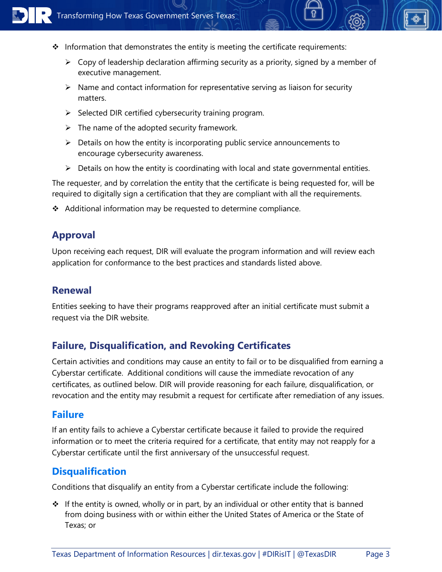

- $\cdot$  Information that demonstrates the entity is meeting the certificate requirements:
	- $\triangleright$  Copy of leadership declaration affirming security as a priority, signed by a member of executive management.
	- $\triangleright$  Name and contact information for representative serving as liaison for security matters.
	- $\triangleright$  Selected DIR certified cybersecurity training program.
	- $\triangleright$  The name of the adopted security framework.
	- $\triangleright$  Details on how the entity is incorporating public service announcements to encourage cybersecurity awareness.
	- $\triangleright$  Details on how the entity is coordinating with local and state governmental entities.

The requester, and by correlation the entity that the certificate is being requested for, will be required to digitally sign a certification that they are compliant with all the requirements.

<span id="page-4-0"></span>Additional information may be requested to determine compliance.

#### **Approval**

Upon receiving each request, DIR will evaluate the program information and will review each application for conformance to the best practices and standards listed above.

#### <span id="page-4-1"></span>**Renewal**

Entities seeking to have their programs reapproved after an initial certificate must submit a request via the DIR website.

#### <span id="page-4-2"></span>**Failure, Disqualification, and Revoking Certificates**

Certain activities and conditions may cause an entity to fail or to be disqualified from earning a Cyberstar certificate. Additional conditions will cause the immediate revocation of any certificates, as outlined below. DIR will provide reasoning for each failure, disqualification, or revocation and the entity may resubmit a request for certificate after remediation of any issues.

#### <span id="page-4-3"></span>**Failure**

If an entity fails to achieve a Cyberstar certificate because it failed to provide the required information or to meet the criteria required for a certificate, that entity may not reapply for a Cyberstar certificate until the first anniversary of the unsuccessful request.

#### <span id="page-4-4"></span>**Disqualification**

Conditions that disqualify an entity from a Cyberstar certificate include the following:

 $\cdot \cdot$  If the entity is owned, wholly or in part, by an individual or other entity that is banned from doing business with or within either the United States of America or the State of Texas; or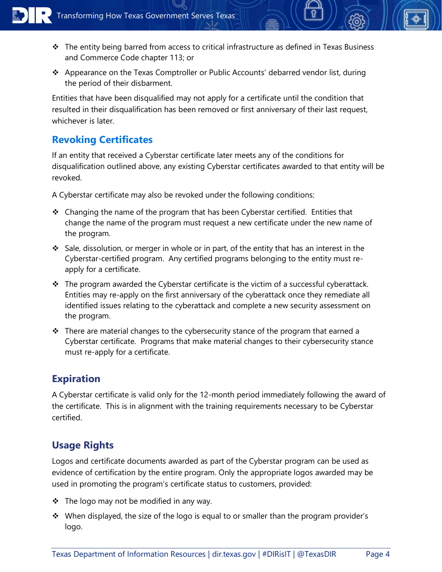- The entity being barred from access to critical infrastructure as defined in Texas Business and Commerce Code chapter 113; or
- Appearance on the Texas Comptroller or Public Accounts' debarred vendor list, during the period of their disbarment.

Entities that have been disqualified may not apply for a certificate until the condition that resulted in their disqualification has been removed or first anniversary of their last request, whichever is later.

# <span id="page-5-0"></span>**Revoking Certificates**

If an entity that received a Cyberstar certificate later meets any of the conditions for disqualification outlined above, any existing Cyberstar certificates awarded to that entity will be revoked.

A Cyberstar certificate may also be revoked under the following conditions:

- $\triangleleft$  Changing the name of the program that has been Cyberstar certified. Entities that change the name of the program must request a new certificate under the new name of the program.
- $\cdot$  Sale, dissolution, or merger in whole or in part, of the entity that has an interest in the Cyberstar-certified program. Any certified programs belonging to the entity must reapply for a certificate.
- \* The program awarded the Cyberstar certificate is the victim of a successful cyberattack. Entities may re-apply on the first anniversary of the cyberattack once they remediate all identified issues relating to the cyberattack and complete a new security assessment on the program.
- $\cdot \cdot$  There are material changes to the cybersecurity stance of the program that earned a Cyberstar certificate. Programs that make material changes to their cybersecurity stance must re-apply for a certificate.

# <span id="page-5-1"></span>**Expiration**

A Cyberstar certificate is valid only for the 12-month period immediately following the award of the certificate. This is in alignment with the training requirements necessary to be Cyberstar certified.

# <span id="page-5-2"></span>**Usage Rights**

Logos and certificate documents awarded as part of the Cyberstar program can be used as evidence of certification by the entire program. Only the appropriate logos awarded may be used in promoting the program's certificate status to customers, provided:

- ❖ The logo may not be modified in any way.
- $\cdot$  When displayed, the size of the logo is equal to or smaller than the program provider's logo.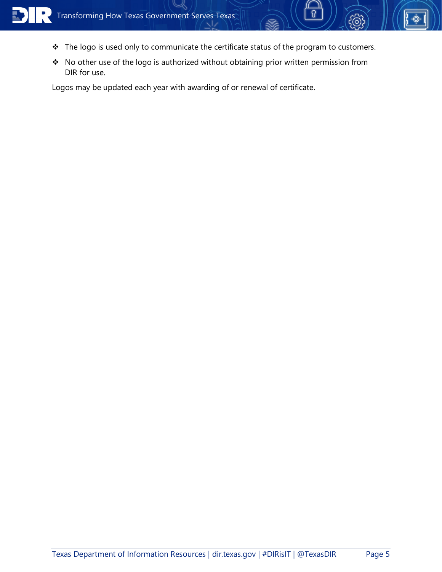

- \* The logo is used only to communicate the certificate status of the program to customers.
- \* No other use of the logo is authorized without obtaining prior written permission from DIR for use.

Logos may be updated each year with awarding of or renewal of certificate.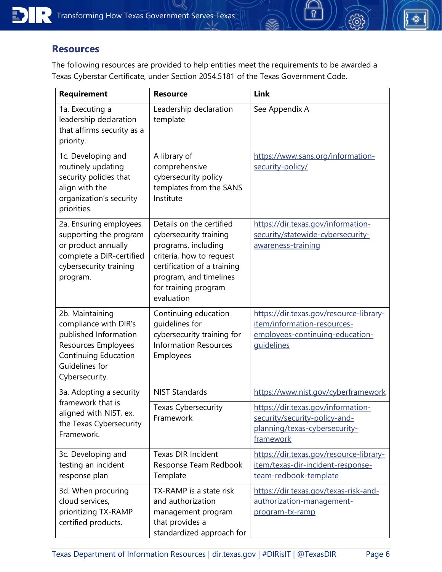#### <span id="page-7-0"></span>**Resources**

The following resources are provided to help entities meet the requirements to be awarded a Texas Cyberstar Certificate, under Section 2054.5181 of the Texas Government Code.

| <b>Requirement</b>                                                                                                                                          | <b>Resource</b>                                                                                                                                                                                      | Link                                                                                                                           |
|-------------------------------------------------------------------------------------------------------------------------------------------------------------|------------------------------------------------------------------------------------------------------------------------------------------------------------------------------------------------------|--------------------------------------------------------------------------------------------------------------------------------|
| 1a. Executing a<br>leadership declaration<br>that affirms security as a<br>priority.                                                                        | Leadership declaration<br>template                                                                                                                                                                   | See Appendix A                                                                                                                 |
| 1c. Developing and<br>routinely updating<br>security policies that<br>align with the<br>organization's security<br>priorities.                              | A library of<br>comprehensive<br>cybersecurity policy<br>templates from the SANS<br>Institute                                                                                                        | https://www.sans.org/information-<br>security-policy/                                                                          |
| 2a. Ensuring employees<br>supporting the program<br>or product annually<br>complete a DIR-certified<br>cybersecurity training<br>program.                   | Details on the certified<br>cybersecurity training<br>programs, including<br>criteria, how to request<br>certification of a training<br>program, and timelines<br>for training program<br>evaluation | https://dir.texas.gov/information-<br>security/statewide-cybersecurity-<br>awareness-training                                  |
| 2b. Maintaining<br>compliance with DIR's<br>published Information<br>Resources Employees<br><b>Continuing Education</b><br>Guidelines for<br>Cybersecurity. | Continuing education<br>quidelines for<br>cybersecurity training for<br><b>Information Resources</b><br>Employees                                                                                    | https://dir.texas.gov/resource-library-<br>item/information-resources-<br>employees-continuing-education-<br><b>guidelines</b> |
| 3a. Adopting a security<br>framework that is                                                                                                                | <b>NIST Standards</b>                                                                                                                                                                                | https://www.nist.gov/cyberframework                                                                                            |
| aligned with NIST, ex.<br>the Texas Cybersecurity<br>Framework.                                                                                             | Texas Cybersecurity<br>Framework                                                                                                                                                                     | https://dir.texas.gov/information-<br>security/security-policy-and-<br>planning/texas-cybersecurity-<br>framework              |
| 3c. Developing and<br>testing an incident<br>response plan                                                                                                  | <b>Texas DIR Incident</b><br>Response Team Redbook<br>Template                                                                                                                                       | https://dir.texas.gov/resource-library-<br>item/texas-dir-incident-response-<br>team-redbook-template                          |
| 3d. When procuring<br>cloud services,<br>prioritizing TX-RAMP<br>certified products.                                                                        | TX-RAMP is a state risk<br>and authorization<br>management program<br>that provides a<br>standardized approach for                                                                                   | https://dir.texas.gov/texas-risk-and-<br>authorization-management-<br>program-tx-ramp                                          |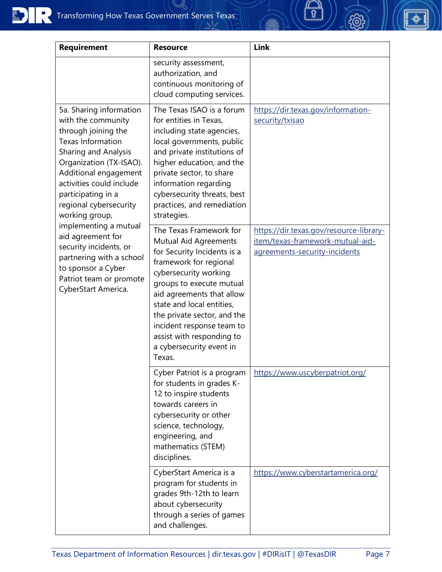| <b>Requirement</b>                                                                                                                                                                                                                                                                                                                                                                                                                                            | <b>Resource</b>                                                                                                                                                                                                                                                                                                                                         | Link                                                                                                         |
|---------------------------------------------------------------------------------------------------------------------------------------------------------------------------------------------------------------------------------------------------------------------------------------------------------------------------------------------------------------------------------------------------------------------------------------------------------------|---------------------------------------------------------------------------------------------------------------------------------------------------------------------------------------------------------------------------------------------------------------------------------------------------------------------------------------------------------|--------------------------------------------------------------------------------------------------------------|
|                                                                                                                                                                                                                                                                                                                                                                                                                                                               | security assessment,<br>authorization, and<br>continuous monitoring of<br>cloud computing services.                                                                                                                                                                                                                                                     |                                                                                                              |
| 5a. Sharing information<br>with the community<br>through joining the<br><b>Texas Information</b><br><b>Sharing and Analysis</b><br>Organization (TX-ISAO).<br>Additional engagement<br>activities could include<br>participating in a<br>regional cybersecurity<br>working group,<br>implementing a mutual<br>aid agreement for<br>security incidents, or<br>partnering with a school<br>to sponsor a Cyber<br>Patriot team or promote<br>CyberStart America. | The Texas ISAO is a forum<br>for entities in Texas,<br>including state agencies,<br>local governments, public<br>and private institutions of<br>higher education, and the<br>private sector, to share<br>information regarding<br>cybersecurity threats, best<br>practices, and remediation<br>strategies.                                              | https://dir.texas.gov/information-<br>security/txisao                                                        |
|                                                                                                                                                                                                                                                                                                                                                                                                                                                               | The Texas Framework for<br>Mutual Aid Agreements<br>for Security Incidents is a<br>framework for regional<br>cybersecurity working<br>groups to execute mutual<br>aid agreements that allow<br>state and local entities,<br>the private sector, and the<br>incident response team to<br>assist with responding to<br>a cybersecurity event in<br>Texas. | https://dir.texas.gov/resource-library-<br>item/texas-framework-mutual-aid-<br>agreements-security-incidents |
|                                                                                                                                                                                                                                                                                                                                                                                                                                                               | Cyber Patriot is a program<br>for students in grades K-<br>12 to inspire students<br>towards careers in<br>cybersecurity or other<br>science, technology,<br>engineering, and<br>mathematics (STEM)<br>disciplines.                                                                                                                                     | https://www.uscyberpatriot.org/                                                                              |
|                                                                                                                                                                                                                                                                                                                                                                                                                                                               | CyberStart America is a<br>program for students in<br>grades 9th-12th to learn<br>about cybersecurity<br>through a series of games<br>and challenges.                                                                                                                                                                                                   | https://www.cyberstartamerica.org/                                                                           |

 $\overline{\theta}$